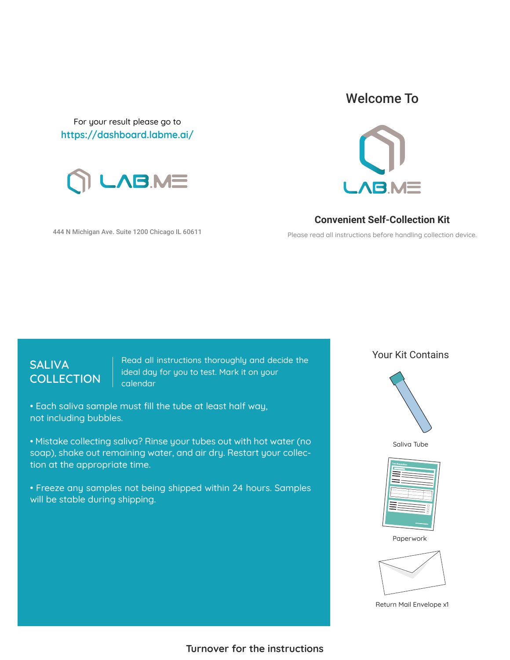For your result please go to **https://dashboard.labme.ai/**



444 N Michigan Ave. Suite 1200 Chicago IL 60611

## Welcome To



**Convenient Self-Collection Kit**

Please read all instructions before handling collection device.

## **SALIVA COLLECTION**

Read all instructions thoroughly and decide the ideal day for you to test. Mark it on your calendar

• Each saliva sample must fill the tube at least half way, not including bubbles.

• Mistake collecting saliva? Rinse your tubes out with hot water (no soap), shake out remaining water, and air dry. Restart your collection at the appropriate time.

• Freeze any samples not being shipped within 24 hours. Samples will be stable during shipping.

Your Kit Contains











Return Mail Envelope x1

**Turnover for the instructions**